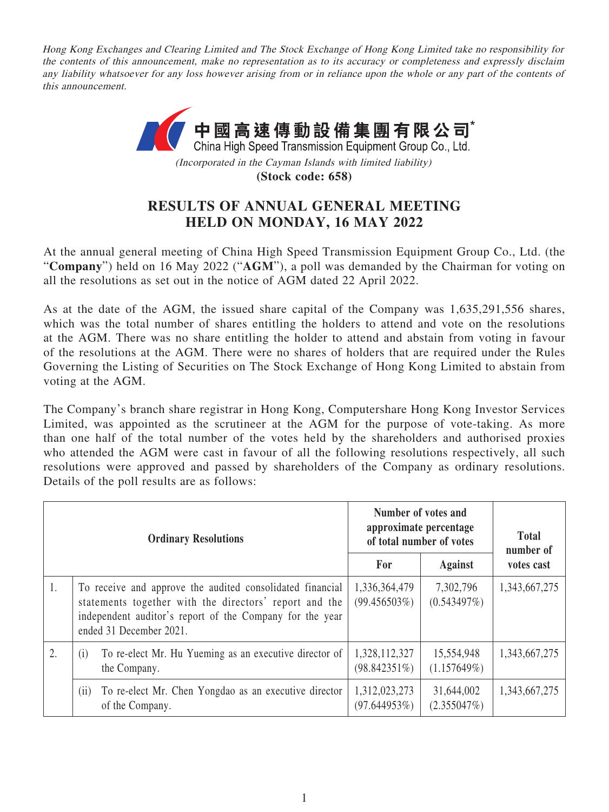Hong Kong Exchanges and Clearing Limited and The Stock Exchange of Hong Kong Limited take no responsibility for the contents of this announcement, make no representation as to its accuracy or completeness and expressly disclaim any liability whatsoever for any loss however arising from or in reliance upon the whole or any part of the contents of this announcement.



**(Stock code: 658)**

## **RESULTS OF ANNUAL GENERAL MEETING HELD ON MONDAY, 16 MAY 2022**

At the annual general meeting of China High Speed Transmission Equipment Group Co., Ltd. (the "**Company**") held on 16 May 2022 ("**AGM**"), a poll was demanded by the Chairman for voting on all the resolutions as set out in the notice of AGM dated 22 April 2022.

As at the date of the AGM, the issued share capital of the Company was 1,635,291,556 shares, which was the total number of shares entitling the holders to attend and vote on the resolutions at the AGM. There was no share entitling the holder to attend and abstain from voting in favour of the resolutions at the AGM. There were no shares of holders that are required under the Rules Governing the Listing of Securities on The Stock Exchange of Hong Kong Limited to abstain from voting at the AGM.

The Company's branch share registrar in Hong Kong, Computershare Hong Kong Investor Services Limited, was appointed as the scrutineer at the AGM for the purpose of vote-taking. As more than one half of the total number of the votes held by the shareholders and authorised proxies who attended the AGM were cast in favour of all the following resolutions respectively, all such resolutions were approved and passed by shareholders of the Company as ordinary resolutions. Details of the poll results are as follows:

| <b>Ordinary Resolutions</b> |                                                                                                                                                                                                            | Number of votes and<br>approximate percentage<br>of total number of votes |                           | <b>Total</b><br>number of |
|-----------------------------|------------------------------------------------------------------------------------------------------------------------------------------------------------------------------------------------------------|---------------------------------------------------------------------------|---------------------------|---------------------------|
|                             |                                                                                                                                                                                                            |                                                                           | <b>Against</b>            | votes cast                |
| 1.                          | To receive and approve the audited consolidated financial<br>statements together with the directors' report and the<br>independent auditor's report of the Company for the year<br>ended 31 December 2021. | 1,336,364,479<br>$(99.456503\%)$                                          | 7,302,796<br>(0.543497%)  | 1,343,667,275             |
| 2.                          | To re-elect Mr. Hu Yueming as an executive director of<br>(i)<br>the Company.                                                                                                                              | 1,328,112,327<br>$(98.842351\%)$                                          | 15,554,948<br>(1.157649%) | 1,343,667,275             |
|                             | To re-elect Mr. Chen Yongdao as an executive director<br>(ii)<br>of the Company.                                                                                                                           | 1,312,023,273<br>$(97.644953\%)$                                          | 31,644,002<br>(2.355047%) | 1,343,667,275             |